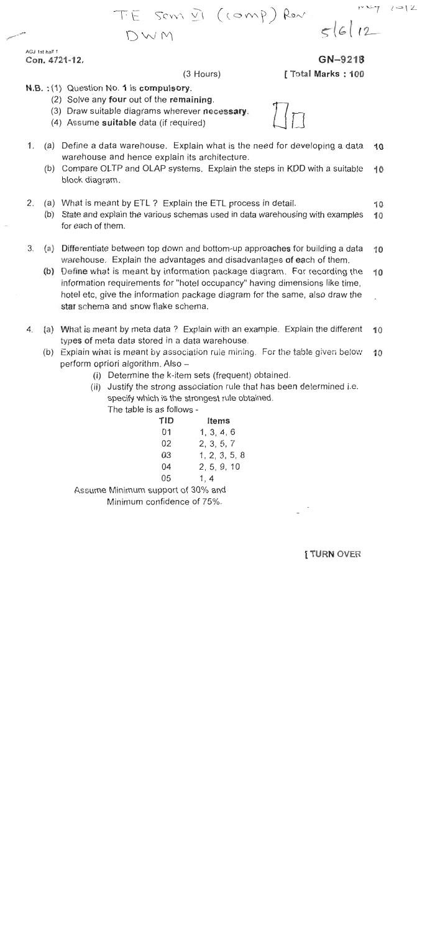$\angle \rightarrow \angle$ 

 $5612$ 

AGJ 1st half 1 Con. 4721-12.

(3 Hours)

TE SOM VI (COMP) Ren

GN-9218

Total Marks: 100

- N.B. : (1) Question No. 1 is compulsory.
	- (2) Solve any four out of the remaining.
	- (3) Draw suitable diagrams wherever necessary.

DWM

- (4) Assume suitable data (if required)
- $1<sub>1</sub>$ (a) Define a data warehouse. Explain what is the need for developing a data  $10$ warehouse and hence explain its architecture.
	- (b) Compare OLTP and OLAP systems. Explain the steps in KDD with a suitable 10 block diagram.
- $2.$ (a) What is meant by ETL? Explain the ETL process in detail. 10
	- (b) State and explain the various schemas used in data warehousing with examples 10 for each of them.
- 3. (a) Differentiate between top down and bottom-up approaches for building a data 10 warehouse. Explain the advantages and disadvantages of each of them.
	- (b) Define what is meant by information package diagram. For recording the 10 information requirements for "hotel occupancy" having dimensions like time, hotel etc, give the information package diagram for the same, also draw the star schema and snow flake schema.
- (a) What is meant by meta data ? Explain with an example. Explain the different 4.  $10$ types of meta data stored in a data warehouse.
	- (b) Explain what is meant by association rule mining. For the table given below  $10$ perform opriori algorithm. Also -
		- (i) Determine the k-item sets (frequent) obtained.
		- (ii) Justify the strong association rule that has been determined i.e. specify which is the strongest rule obtained.

The table is as follows -

| TID | Items         |  |  |  |
|-----|---------------|--|--|--|
| 01  | 1, 3, 4, 6    |  |  |  |
| 02  | 2, 3, 5, 7    |  |  |  |
| 03  | 1, 2, 3, 5, 8 |  |  |  |
| 04  | 2, 5, 9, 10   |  |  |  |
| 05  | 1, 4          |  |  |  |
|     |               |  |  |  |

Assume Minimum support of 30% and

Minimum confidence of 75%.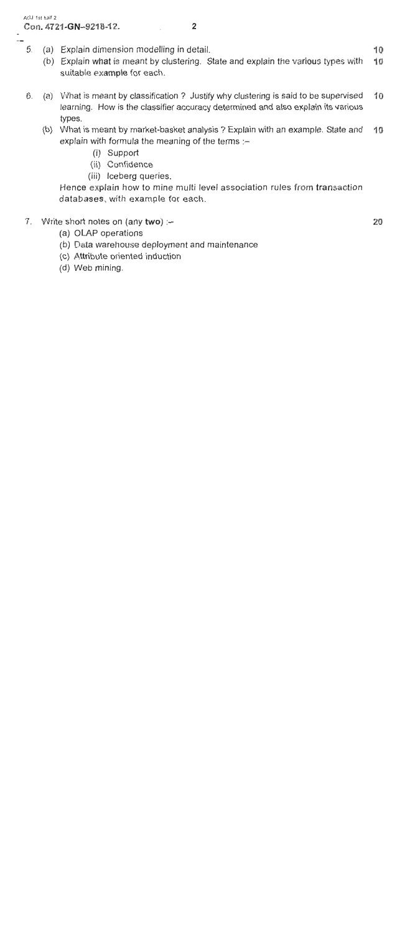## AGJ 1st half 2 Con. 4721-GN-9218-12.

 $\bullet$  $\sim$ 

- $5<sub>1</sub>$ Explain dimension modelling in detail.  $(a)$ 
	- (b) Explain what is meant by clustering. State and explain the various types with  $10$ suitable example for each.

 $\mathbf{2}$ 

- (a) What is meant by classification ? Justify why clustering is said to be supervised 10 6. learning. How is the classifier accuracy determined and also explain its various types.
	- (b) What is meant by market-basket analysis ? Explain with an example. State and 10 explain with formula the meaning of the terms :-
		- (i) Support
		- (ii) Confidence
		- (iii) Iceberg queries.

Hence explain how to mine multi level association rules from transaction databases, with example for each.

- $7<sub>1</sub>$ Write short notes on (any two) :-
	- (a) OLAP operations
	- (b) Data warehouse deployment and maintenance
	- (c) Attribute oriented induction
	- (d) Web mining.

20

 $10$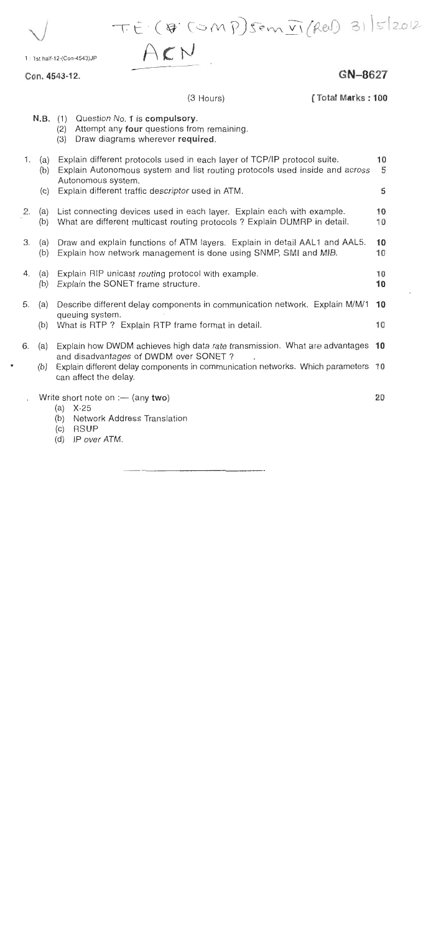T.E. (B. (OMP) Sem VI (Rev) 31/5/2012

1 : 1st half-12-(Con-4543)JP

Con. 4543-12.

GN-8627

[Total Marks: 100

|    |                   | $N.B.$ (1)<br>(2)<br>(3)                                                                                                                                                                                                           | Question No. 1 is compulsory.<br>Attempt any four questions from remaining.<br>Draw diagrams wherever required. |          |  |
|----|-------------------|------------------------------------------------------------------------------------------------------------------------------------------------------------------------------------------------------------------------------------|-----------------------------------------------------------------------------------------------------------------|----------|--|
| 1. | (a)<br>(b)<br>(c) | Explain different protocols used in each layer of TCP/IP protocol suite.<br>Explain Autonomous system and list routing protocols used inside and across<br>Autonomous system.<br>Explain different traffic descriptor used in ATM. |                                                                                                                 |          |  |
| 2. | (a)<br>(b)        | List connecting devices used in each layer. Explain each with example.<br>What are different multicast routing protocols? Explain DUMRP in detail.                                                                                 |                                                                                                                 |          |  |
| 3. | (a)<br>(b)        | Draw and explain functions of ATM layers. Explain in detail AAL1 and AAL5.<br>Explain how network management is done using SNMP, SMI and MIB.                                                                                      |                                                                                                                 |          |  |
| 4. | (a)<br>(b)        | Explain RIP unicast routing protocol with example.<br>Explain the SONET frame structure.                                                                                                                                           |                                                                                                                 | 10<br>10 |  |
| 5. | (a)<br>(b)        | Describe different delay components in communication network. Explain M/M/1<br>queuing system.<br>What is RTP ? Explain RTP frame format in detail.                                                                                |                                                                                                                 | 10<br>10 |  |
| 6. | (a)<br>(b)        | Explain how DWDM achieves high data rate transmission. What are advantages<br>and disadvantages of DWDM over SONET?<br>Explain different delay components in communication networks. Which parameters<br>can affect the delay.     |                                                                                                                 | 10<br>10 |  |
|    |                   | (a)<br>(b)<br>$\sim$                                                                                                                                                                                                               | Write short note on $:$ — (any two)<br>X.25<br><b>Network Address Translation</b><br>DPIID                      | 20       |  |

(3 Hours)

 $ACN$ 

- $(C)$ **RSUP**
- IP over ATM.  $(d)$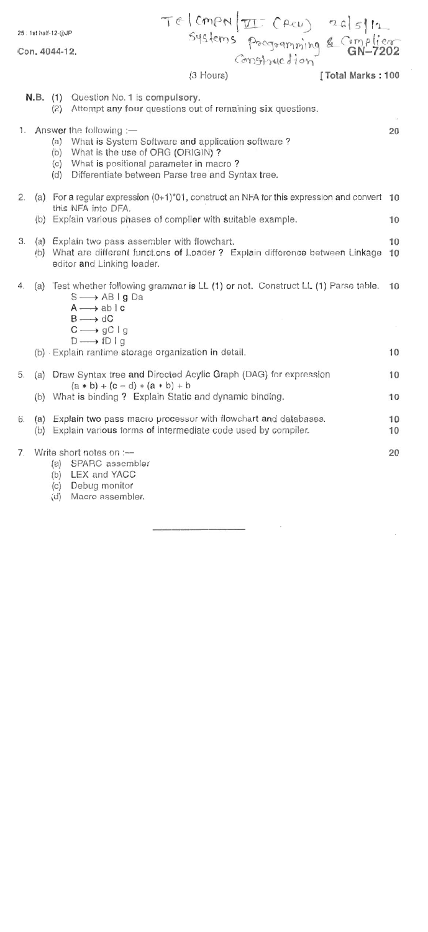| 25 : 1st half-12-(j)JP<br>Con. 4044-12.<br>$(3$ Hours) |          |                                                                                           | TE (CMPN II CACU) 26/5/12<br>Systems pagaamming & Complier<br>[Total Marks: 100                                                                                                                                                                      |          |  |
|--------------------------------------------------------|----------|-------------------------------------------------------------------------------------------|------------------------------------------------------------------------------------------------------------------------------------------------------------------------------------------------------------------------------------------------------|----------|--|
|                                                        | N.B. (1) | (2)                                                                                       | Question No. 1 is compulsory.<br>Attempt any four questions out of remaining six questions.                                                                                                                                                          |          |  |
|                                                        |          |                                                                                           | 1. Answer the following $-$<br>(a) What is System Software and application software?<br>(b) What is the use of ORG (ORIGIN)?<br>(c) What is positional parameter in macro?<br>(d) Differentiate between Parse tree and Syntax tree.                  | 20       |  |
|                                                        |          |                                                                                           | 2. (a) For a regular expression $(0+1)^*01$ , construct an NFA for this expression and convert                                                                                                                                                       | 10       |  |
|                                                        |          | this NFA into DFA.<br>(b) Explain various phases of complier with suitable example.<br>10 |                                                                                                                                                                                                                                                      |          |  |
| 3.                                                     |          |                                                                                           | (a) Explain two pass assembler with flowchart.<br>(b) What are different functions of Loader ? Explain difference between Linkage<br>editor and Linking loader.                                                                                      | 10<br>10 |  |
| 4.                                                     |          |                                                                                           | (a) Test whether following grammar is LL (1) or not. Construct LL (1) Parse table.<br>$S \longrightarrow AB \mid g$ Da<br>$A \longrightarrow ab \mid c$<br>$B \longrightarrow dC$<br>$C \longrightarrow gC \mid g$<br>$D \longrightarrow f D \mid g$ | 10       |  |
|                                                        |          |                                                                                           | (b) Explain rantime storage organization in detail.                                                                                                                                                                                                  | 10       |  |
| 5.                                                     |          |                                                                                           | (a) Draw Syntax tree and Directed Acylic Graph (DAG) for expression<br>$(a * b) + (c - d) * (a * b) + b$                                                                                                                                             | 10       |  |
|                                                        |          | (b) What is binding ? Explain Static and dynamic binding.<br>10                           |                                                                                                                                                                                                                                                      |          |  |
| 6.                                                     |          |                                                                                           | (a) Explain two pass macro processor with flowchart and databases.<br>(b) Explain various forms of intermediate code used by compiler.                                                                                                               | 10<br>10 |  |
| 7.                                                     |          | (a)<br>(c)<br>(d)                                                                         | Write short notes on :--<br>SPARC assembler<br>(b) LEX and YACC<br>Debug monitor<br>Macro assembler.                                                                                                                                                 | 20       |  |

 $\sim$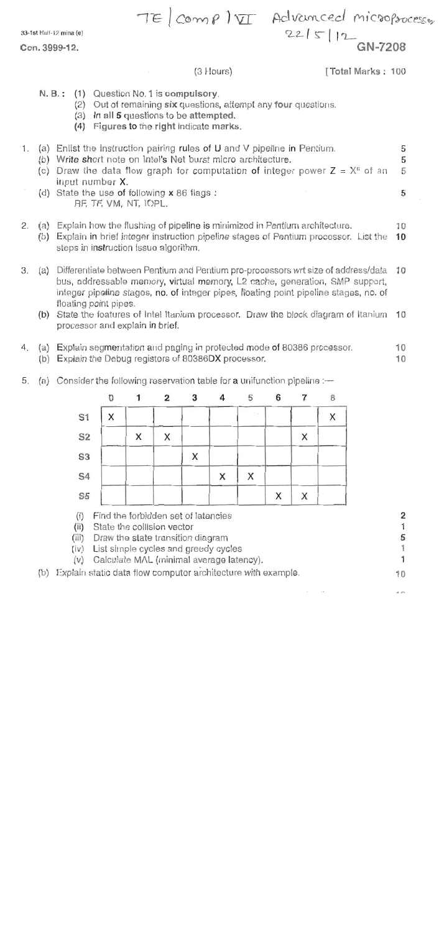33-1st Half-12 mina (e)

Con. 3999-12.

TE comp) VI Advanced microprocesser  $2215/12$  GN-7208

(3 Hours)

[Total Marks: 100

- N. B.: (1) Question No. 1 is compulsory.
	- (2) Out of remaining six questions, attempt any four questions.
	- (3) In all 5 questions to be attempted.
	- (4) Figures to the right indicate marks.
- (a) Enlist the instruction pairing rules of U and V pipeline in Pentium.  $1.$ 5 (b) Write short note on Intel's Net burst micro architecture. 5 (c) Draw the data flow graph for computation of integer power  $Z = X^n$  of an 5 input number X. (d) State the use of following x 86 flags: 5 RF, TF, VM, NT, IOPL.
- (a) Explain how the flushing of pipeline is minimized in Pentium architecture. 2. 10 (b) Explain in brief integer instruction pipeline stages of Pentium processor. List the 10 steps in instruction issue algorithm.
- (a) Differentiate between Pentium and Pentium pro-processors wrt size of address/data 10 3. bus, addressable memory, virtual memory, L2 cache, generation, SMP support, integer pipeline stages, no. of integer pipes, floating point pipeline stages, no. of floating point pipes.
	- (b) State the features of Intel Itanium processor. Draw the block diagram of Itanium 10 processor and explain in brief.
- (a) Explain segmentation and paging in protected mode of 80386 processor. 10 4. (b) Explain the Debug registers of 80386DX processor. 10
- 5. (a) Consider the following reservation table for a unifunction pipeline  $-$



(v) Calculate MAL (minimal average latency).

(b) Explain static data flow computer architecture with example.

1  $10$ 

 $\overline{2}$ 

1

5

1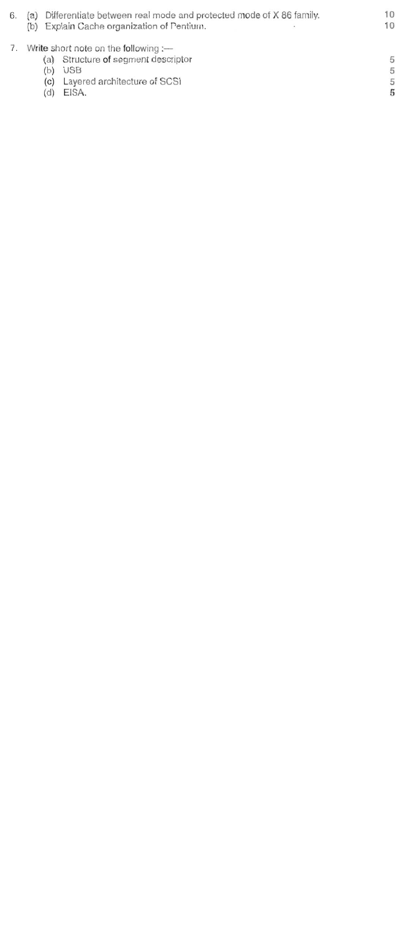Differentiate between real mode and protected mode of X 86 family. 6.  $(a)$  $(b)$ Explain Cache organization of Pentium.

 $10$ 

10

5

5 5

5

## Write short note on the following :-

- Structure of segment descriptor  $(a)$
- **USB**  $(b)$
- Layered architecture of SCSI  $(c)$
- EISA.  $(d)$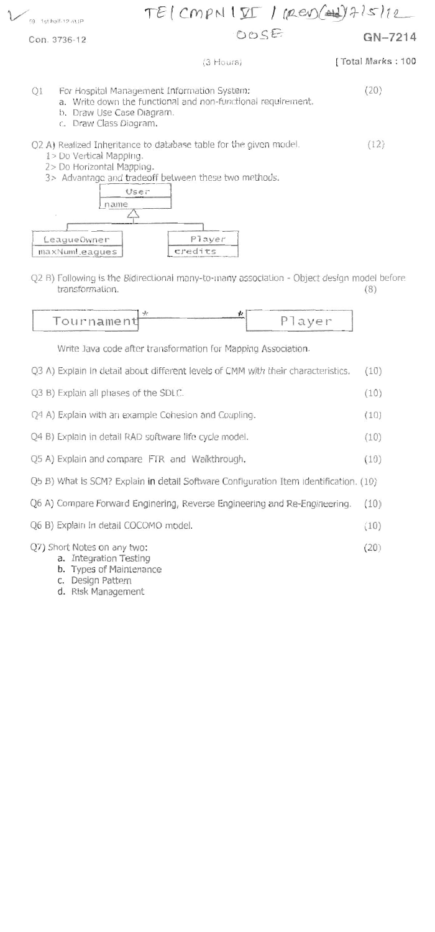

c. Draw Class Diagram.

## Q2 A) Realized Inheritance to database table for the given model.  $(12)$

- 1> Do Vertical Mapping.
- 2> Do Horizontal Mapping.
- 3> Advantage and tradeoff between these two methods.



Q2 B) Following is the Bidirectional many-to-many association - Object design model before transformation.  $(8)$ 



Write Java code after transformation for Mapping Association.

- Q3 A) Explain in detail about different levels of CMM with their characteristics.  $(10)$
- Q3 B) Explain all phases of the SDLC.  $(10)$ Q4 A) Explain with an example Cohesion and Coupling.  $(10)$ Q4 B) Explain in detail RAD software life cycle model.  $(10)$ Q5 A) Explain and compare FTR and Walkthrough.  $(10)$ Q5 B) What is SCM? Explain in detail Software Configuration Item identification. (10) Q6 A) Compare Forward Enginering, Reverse Engineering and Re-Engineering.  $(10)$ Q6 B) Explain in detail COCOMO model.  $(10)$ Q7) Short Notes on any two:  $(20)$ a. Integration Testing b. Types of Maintenance c. Design Pattern
	- d. Risk Management